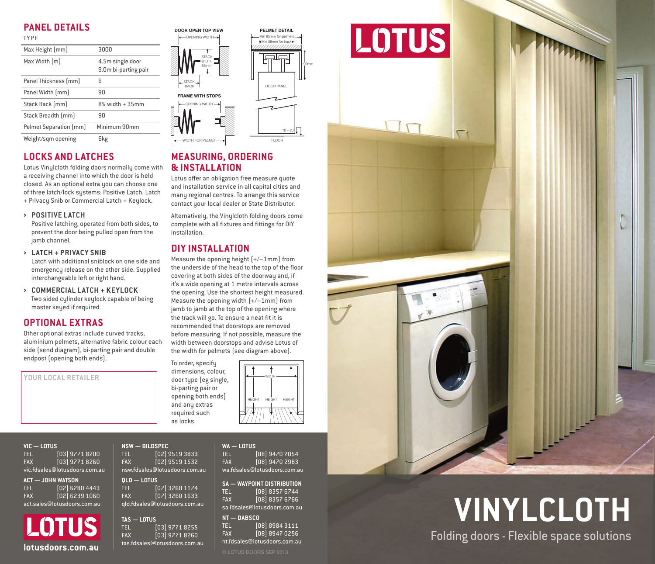# **PANEL DETAILS**

| <b>TYPE</b>            |                                          |
|------------------------|------------------------------------------|
| Max Height [mm]        | 3000                                     |
| Max Width [m]          | 4.5m single door<br>9.0m bi-parting pair |
| Panel Thickness [mm]   | 6                                        |
| Panel Width [mm]       | 90                                       |
| Stack Back [mm]        | $8\%$ width $+35$ mm                     |
| Stack Breadth [mm]     | 90                                       |
| Pelmet Separation [mm] | Minimum 90mm                             |
| Weight/sqm opening     | 6kg                                      |

## **LOCKS AND LATCHES**

Lotus Vinylcloth folding doors normally come with a receiving channel into which the door is held closed. As an optional extra you can choose one of three latch/lock systems: Positive Latch, Latch + Privacy Snib or Commercial Latch + Keylock.

**› POSITIVE LATCH**

Positive latching, operated from both sides, to prevent the door being pulled open from the jamb channel.

**› LATCH + PRIVACY SNIB**

Latch with additional sniblock on one side and emergency release on the other side. Supplied interchangeable left or right hand.

**› COMMERCIAL LATCH + KEYLOCK** Two sided cylinder keylock capable of being master keyed if required.

## **OPTIONAL EXTRAS**

Other optional extras include curved tracks, aluminium pelmets, alternative fabric colour each side (send diagram), bi-parting pair and double endpost (opening both ends).

**YOUR LOCAL RETAILER**



90mm

 $10 - 20$ 

## **MEASURING, ORDERING & INSTALLATION**

Lotus offer an obligation free measure quote and installation service in all capital cities and many regional centres. To arrange this service contact your local dealer or State Distributor.

Alternatively, the Vinylcloth folding doors come complete with all fixtures and fittings for DIY installation.

# **DIY INSTALLATION**

Measure the opening height (+/–1mm) from the underside of the head to the top of the floor covering at both sides of the doorway and, if it's a wide opening at 1 metre intervals across the opening. Use the shortest height measured. Measure the opening width (+/–1mm) from jamb to jamb at the top of the opening where the track will go. To ensure a neat fit it is recommended that doorstops are removed before measuring. If not possible, measure the width between doorstops and advise Lotus of the width for pelmets (see diagram above).



|                               | $VC - LOTUS$                |  |  |  |
|-------------------------------|-----------------------------|--|--|--|
| <b>TEL</b>                    | $[03]$ 9771 8200            |  |  |  |
| <b>FAX</b>                    | [03] 9771 8260              |  |  |  |
| vic.fdsales@lotusdoors.com.au |                             |  |  |  |
|                               | <b><i>IALIM MILEAGM</i></b> |  |  |  |

**ACT — JOHN WATSON** TEL [02] 6280 4443<br>FAX [02] 6239 1060  $F$ <sub>02</sub>] 6239 1060 act.sales@lotusdoors.com.au

**LOTUS lotusdoors.com.au** as.tosales@lotusdoors.com.au a.t. authorized busedoors.com

| <b>NSW - BILDSPEC</b>         |                  |  |  |  |
|-------------------------------|------------------|--|--|--|
| TEL.                          | [02] 9519 3833   |  |  |  |
| <b>FAX</b>                    | $[02]$ 9519 1532 |  |  |  |
| nsw.fdsales@lotusdoors.com.au |                  |  |  |  |
| OLD - LOTUS                   |                  |  |  |  |
| TEL.                          | [07] 3260 1174   |  |  |  |
| <b>FAX</b>                    | $[07]$ 3260 1633 |  |  |  |
| qld.fdsales@lotusdoors.com.au |                  |  |  |  |
|                               |                  |  |  |  |
|                               |                  |  |  |  |

required such as locks.

**TAS — LOTUS** TEL [03] 9771 8255 FAX [03] 9771 8260 tas.fdsales@lotusdoors.com.au **WA — LOTUS**

TEL [08] 9470 2054<br>FAX [08] 9470 2983 FAX [08] 9470 2983 wa.fdsales@lotusdoors.com.au

**SA — WAYPOINT DISTRIBUTION** TEL [08] 8357 6744 FAX [08] 8357 6766 sa.fdsales@lotusdoors.com.au

#### **NT — DABSCO** TEL [08] 8984 3111 FAX [08] 8947 0256 nt.fdsales@lotusdoors.com.au



**VINYLCLOTH** Folding doors - Flexible space solutions